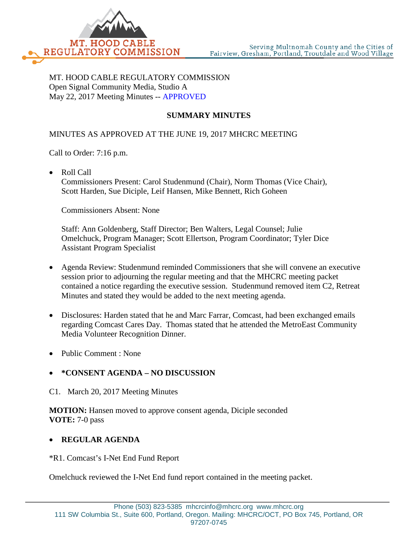

MT. HOOD CABLE REGULATORY COMMISSION Open Signal Community Media, Studio A May 22, 2017 Meeting Minutes -- APPROVED

## **SUMMARY MINUTES**

## MINUTES AS APPROVED AT THE JUNE 19, 2017 MHCRC MEETING

Call to Order: 7:16 p.m.

• Roll Call

Commissioners Present: Carol Studenmund (Chair), Norm Thomas (Vice Chair), Scott Harden, Sue Diciple, Leif Hansen, Mike Bennett, Rich Goheen

Commissioners Absent: None

Staff: Ann Goldenberg, Staff Director; Ben Walters, Legal Counsel; Julie Omelchuck, Program Manager; Scott Ellertson, Program Coordinator; Tyler Dice Assistant Program Specialist

- Agenda Review: Studenmund reminded Commissioners that she will convene an executive session prior to adjourning the regular meeting and that the MHCRC meeting packet contained a notice regarding the executive session. Studenmund removed item C2, Retreat Minutes and stated they would be added to the next meeting agenda.
- Disclosures: Harden stated that he and Marc Farrar, Comcast, had been exchanged emails regarding Comcast Cares Day. Thomas stated that he attended the MetroEast Community Media Volunteer Recognition Dinner.
- Public Comment : None

## • **\*CONSENT AGENDA – NO DISCUSSION**

C1. March 20, 2017 Meeting Minutes

**MOTION:** Hansen moved to approve consent agenda, Diciple seconded **VOTE:** 7-0 pass

## • **REGULAR AGENDA**

\*R1. Comcast's I-Net End Fund Report

Omelchuck reviewed the I-Net End fund report contained in the meeting packet.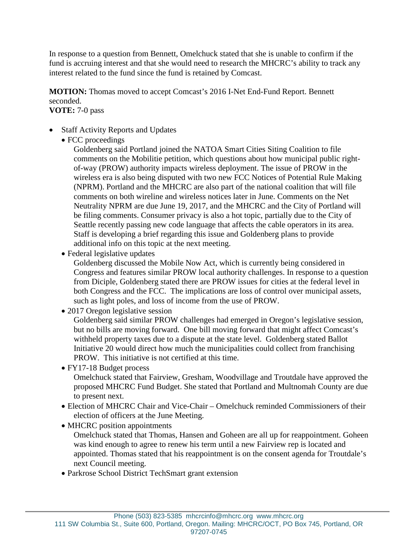In response to a question from Bennett, Omelchuck stated that she is unable to confirm if the fund is accruing interest and that she would need to research the MHCRC's ability to track any interest related to the fund since the fund is retained by Comcast.

**MOTION:** Thomas moved to accept Comcast's 2016 I-Net End-Fund Report. Bennett seconded.

**VOTE:** 7-0 pass

- Staff Activity Reports and Updates
	- FCC proceedings

Goldenberg said Portland joined the NATOA Smart Cities Siting Coalition to file comments on the Mobilitie petition, which questions about how municipal public rightof-way (PROW) authority impacts wireless deployment. The issue of PROW in the wireless era is also being disputed with two new FCC Notices of Potential Rule Making (NPRM). Portland and the MHCRC are also part of the national coalition that will file comments on both wireline and wireless notices later in June. Comments on the Net Neutrality NPRM are due June 19, 2017, and the MHCRC and the City of Portland will be filing comments. Consumer privacy is also a hot topic, partially due to the City of Seattle recently passing new code language that affects the cable operators in its area. Staff is developing a brief regarding this issue and Goldenberg plans to provide additional info on this topic at the next meeting.

• Federal legislative updates

Goldenberg discussed the Mobile Now Act, which is currently being considered in Congress and features similar PROW local authority challenges. In response to a question from Diciple, Goldenberg stated there are PROW issues for cities at the federal level in both Congress and the FCC. The implications are loss of control over municipal assets, such as light poles, and loss of income from the use of PROW.

• 2017 Oregon legislative session

Goldenberg said similar PROW challenges had emerged in Oregon's legislative session, but no bills are moving forward. One bill moving forward that might affect Comcast's withheld property taxes due to a dispute at the state level. Goldenberg stated Ballot Initiative 20 would direct how much the municipalities could collect from franchising PROW. This initiative is not certified at this time.

• FY17-18 Budget process

Omelchuck stated that Fairview, Gresham, Woodvillage and Troutdale have approved the proposed MHCRC Fund Budget. She stated that Portland and Multnomah County are due to present next.

- Election of MHCRC Chair and Vice-Chair Omelchuck reminded Commissioners of their election of officers at the June Meeting.
- MHCRC position appointments

Omelchuck stated that Thomas, Hansen and Goheen are all up for reappointment. Goheen was kind enough to agree to renew his term until a new Fairview rep is located and appointed. Thomas stated that his reappointment is on the consent agenda for Troutdale's next Council meeting.

• Parkrose School District TechSmart grant extension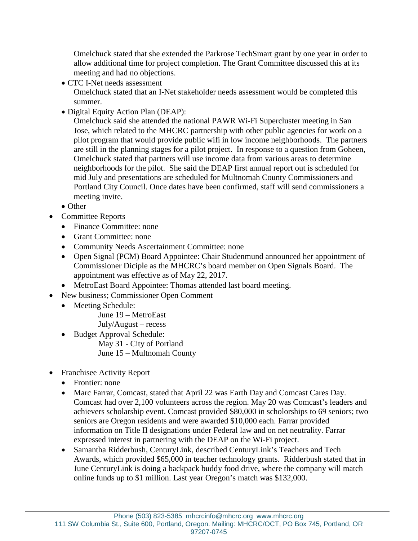Omelchuck stated that she extended the Parkrose TechSmart grant by one year in order to allow additional time for project completion. The Grant Committee discussed this at its meeting and had no objections.

• CTC I-Net needs assessment

Omelchuck stated that an I-Net stakeholder needs assessment would be completed this summer.

• Digital Equity Action Plan (DEAP):

Omelchuck said she attended the national PAWR Wi-Fi Supercluster meeting in San Jose, which related to the MHCRC partnership with other public agencies for work on a pilot program that would provide public wifi in low income neighborhoods. The partners are still in the planning stages for a pilot project. In response to a question from Goheen, Omelchuck stated that partners will use income data from various areas to determine neighborhoods for the pilot. She said the DEAP first annual report out is scheduled for mid July and presentations are scheduled for Multnomah County Commissioners and Portland City Council. Once dates have been confirmed, staff will send commissioners a meeting invite.

- Other
- Committee Reports
	- Finance Committee: none
	- Grant Committee: none
	- Community Needs Ascertainment Committee: none
	- Open Signal (PCM) Board Appointee: Chair Studenmund announced her appointment of Commissioner Diciple as the MHCRC's board member on Open Signals Board. The appointment was effective as of May 22, 2017.
	- MetroEast Board Appointee: Thomas attended last board meeting.
- New business; Commissioner Open Comment
	- Meeting Schedule:
		- June 19 MetroEast
		- July/August recess
		- Budget Approval Schedule:
			- May 31 City of Portland
			- June 15 Multnomah County
- Franchisee Activity Report
	- Frontier: none
	- Marc Farrar, Comcast, stated that April 22 was Earth Day and Comcast Cares Day. Comcast had over 2,100 volunteers across the region. May 20 was Comcast's leaders and achievers scholarship event. Comcast provided \$80,000 in scholorships to 69 seniors; two seniors are Oregon residents and were awarded \$10,000 each. Farrar provided information on Title II designations under Federal law and on net neutrality. Farrar expressed interest in partnering with the DEAP on the Wi-Fi project.
	- Samantha Ridderbush, CenturyLink, described CenturyLink's Teachers and Tech Awards, which provided \$65,000 in teacher technology grants. Ridderbush stated that in June CenturyLink is doing a backpack buddy food drive, where the company will match online funds up to \$1 million. Last year Oregon's match was \$132,000.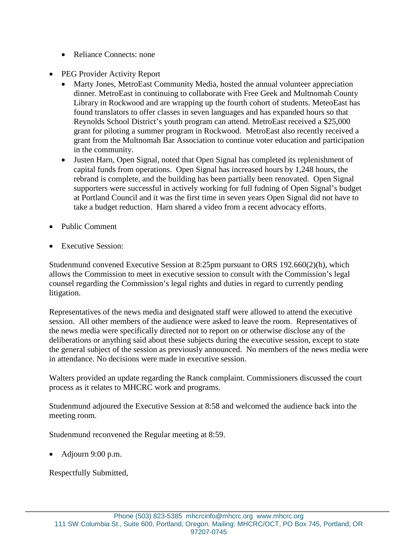- Reliance Connects: none
- PEG Provider Activity Report
	- Marty Jones, MetroEast Community Media, hosted the annual volunteer appreciation dinner. MetroEast in continuing to collaborate with Free Geek and Multnomah County Library in Rockwood and are wrapping up the fourth cohort of students. MeteoEast has found translators to offer classes in seven languages and has expanded hours so that Reynolds School District's youth program can attend. MetroEast received a \$25,000 grant for piloting a summer program in Rockwood. MetroEast also recently received a grant from the Multnomah Bar Association to continue voter education and participation in the community.
	- Justen Harn, Open Signal, noted that Open Signal has completed its replenishment of capital funds from operations. Open Signal has increased hours by 1,248 hours, the rebrand is complete, and the building has been partially been renovated. Open Signal supporters were successful in actively working for full fudning of Open Signal's budget at Portland Council and it was the first time in seven years Open Signal did not have to take a budget reduction. Harn shared a video from a recent advocacy efforts.
- Public Comment
- **Executive Session:**

Studenmund convened Executive Session at 8:25pm pursuant to ORS 192.660(2)(h), which allows the Commission to meet in executive session to consult with the Commission's legal counsel regarding the Commission's legal rights and duties in regard to currently pending litigation.

Representatives of the news media and designated staff were allowed to attend the executive session. All other members of the audience were asked to leave the room. Representatives of the news media were specifically directed not to report on or otherwise disclose any of the deliberations or anything said about these subjects during the executive session, except to state the general subject of the session as previously announced. No members of the news media were in attendance. No decisions were made in executive session.

Walters provided an update regarding the Ranck complaint. Commissioners discussed the court process as it relates to MHCRC work and programs.

Studenmund adjoured the Executive Session at 8:58 and welcomed the audience back into the meeting room.

Studenmund reconvened the Regular meeting at 8:59.

• Adjourn 9:00 p.m.

Respectfully Submitted,